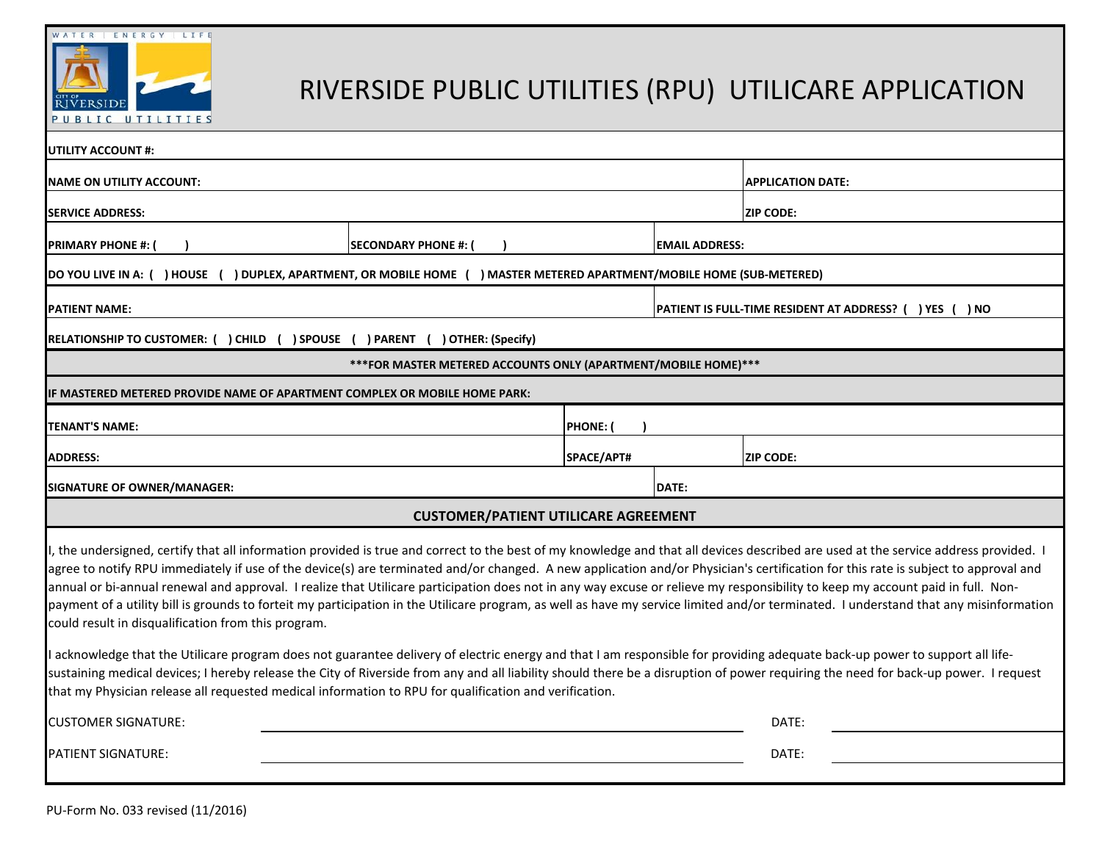



# RIVERSIDE PUBLIC UTILITIES (RPU) UTILICARE APPLICATION

| <b>UTILITY ACCOUNT #:</b>                                                                                                                                                                                                                                                             |                      |               |                                                             |                                                                                                                                                                                                                                                                                                                                                                                                                                                                                                                                                                     |  |  |  |
|---------------------------------------------------------------------------------------------------------------------------------------------------------------------------------------------------------------------------------------------------------------------------------------|----------------------|---------------|-------------------------------------------------------------|---------------------------------------------------------------------------------------------------------------------------------------------------------------------------------------------------------------------------------------------------------------------------------------------------------------------------------------------------------------------------------------------------------------------------------------------------------------------------------------------------------------------------------------------------------------------|--|--|--|
| NAME ON UTILITY ACCOUNT:                                                                                                                                                                                                                                                              |                      |               |                                                             | <b>APPLICATION DATE:</b>                                                                                                                                                                                                                                                                                                                                                                                                                                                                                                                                            |  |  |  |
| <b>SERVICE ADDRESS:</b>                                                                                                                                                                                                                                                               |                      |               |                                                             | <b>ZIP CODE:</b>                                                                                                                                                                                                                                                                                                                                                                                                                                                                                                                                                    |  |  |  |
| <b>PRIMARY PHONE #:</b>                                                                                                                                                                                                                                                               | SECONDARY PHONE #: ( |               | <b>EMAIL ADDRESS:</b>                                       |                                                                                                                                                                                                                                                                                                                                                                                                                                                                                                                                                                     |  |  |  |
| DUPLEX, APARTMENT, OR MOBILE HOME ( ) MASTER METERED APARTMENT/MOBILE HOME (SUB-METERED)<br>DO YOU LIVE IN A: ( ) HOUSE                                                                                                                                                               |                      |               |                                                             |                                                                                                                                                                                                                                                                                                                                                                                                                                                                                                                                                                     |  |  |  |
| <b>PATIENT NAME:</b>                                                                                                                                                                                                                                                                  |                      |               | PATIENT IS FULL-TIME RESIDENT AT ADDRESS? (<br>) YES ( ) NO |                                                                                                                                                                                                                                                                                                                                                                                                                                                                                                                                                                     |  |  |  |
| RELATIONSHIP TO CUSTOMER: ( ) CHILD ( ) SPOUSE ( ) PARENT ( ) OTHER: (Specify)                                                                                                                                                                                                        |                      |               |                                                             |                                                                                                                                                                                                                                                                                                                                                                                                                                                                                                                                                                     |  |  |  |
| *** FOR MASTER METERED ACCOUNTS ONLY (APARTMENT/MOBILE HOME)***                                                                                                                                                                                                                       |                      |               |                                                             |                                                                                                                                                                                                                                                                                                                                                                                                                                                                                                                                                                     |  |  |  |
| IF MASTERED METERED PROVIDE NAME OF APARTMENT COMPLEX OR MOBILE HOME PARK:                                                                                                                                                                                                            |                      |               |                                                             |                                                                                                                                                                                                                                                                                                                                                                                                                                                                                                                                                                     |  |  |  |
| TENANT'S NAME:                                                                                                                                                                                                                                                                        |                      | <b>PHONE:</b> |                                                             |                                                                                                                                                                                                                                                                                                                                                                                                                                                                                                                                                                     |  |  |  |
| <b>ADDRESS:</b>                                                                                                                                                                                                                                                                       |                      | SPACE/APT#    |                                                             | <b>IZIP CODE:</b>                                                                                                                                                                                                                                                                                                                                                                                                                                                                                                                                                   |  |  |  |
| SIGNATURE OF OWNER/MANAGER:                                                                                                                                                                                                                                                           |                      |               | DATE:                                                       |                                                                                                                                                                                                                                                                                                                                                                                                                                                                                                                                                                     |  |  |  |
| <b>CUSTOMER/PATIENT UTILICARE AGREEMENT</b>                                                                                                                                                                                                                                           |                      |               |                                                             |                                                                                                                                                                                                                                                                                                                                                                                                                                                                                                                                                                     |  |  |  |
| annual or bi-annual renewal and approval. I realize that Utilicare participation does not in any way excuse or relieve my responsibility to keep my account paid in full. Non-<br>could result in disqualification from this program.                                                 |                      |               |                                                             | I, the undersigned, certify that all information provided is true and correct to the best of my knowledge and that all devices described are used at the service address provided. I<br>agree to notify RPU immediately if use of the device(s) are terminated and/or changed. A new application and/or Physician's certification for this rate is subject to approval and<br>payment of a utility bill is grounds to forteit my participation in the Utilicare program, as well as have my service limited and/or terminated. I understand that any misinformation |  |  |  |
| I acknowledge that the Utilicare program does not guarantee delivery of electric energy and that I am responsible for providing adequate back-up power to support all life-<br>that my Physician release all requested medical information to RPU for qualification and verification. |                      |               |                                                             | sustaining medical devices; I hereby release the City of Riverside from any and all liability should there be a disruption of power requiring the need for back-up power. I request                                                                                                                                                                                                                                                                                                                                                                                 |  |  |  |
| <b>CUSTOMER SIGNATURE:</b>                                                                                                                                                                                                                                                            |                      |               |                                                             | DATE:                                                                                                                                                                                                                                                                                                                                                                                                                                                                                                                                                               |  |  |  |
| DATE:<br><b>PATIENT SIGNATURE:</b>                                                                                                                                                                                                                                                    |                      |               |                                                             |                                                                                                                                                                                                                                                                                                                                                                                                                                                                                                                                                                     |  |  |  |
|                                                                                                                                                                                                                                                                                       |                      |               |                                                             |                                                                                                                                                                                                                                                                                                                                                                                                                                                                                                                                                                     |  |  |  |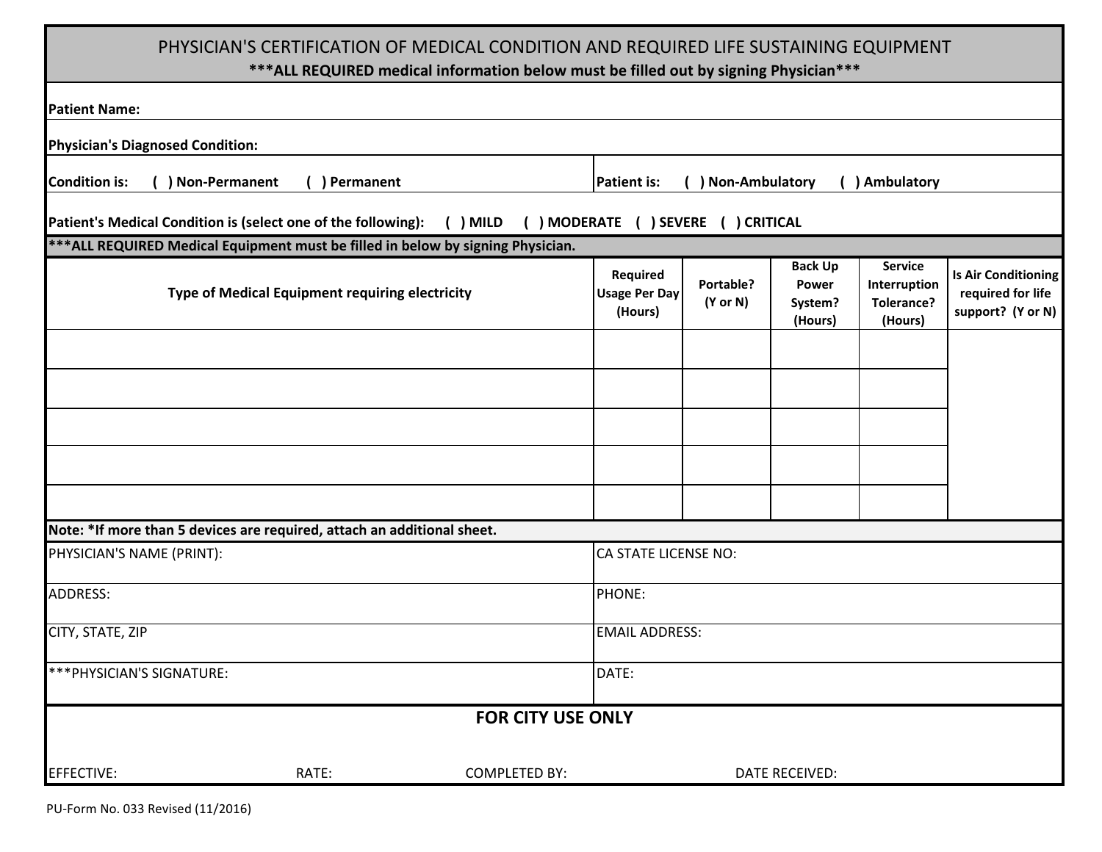## PHYSICIAN'S CERTIFICATION OF MEDICAL CONDITION AND REQUIRED LIFE SUSTAINING EQUIPMENT

### **\*\*\*ALL REQUIRED medical information below must be filled out by signing Physician\*\*\***

| <b>Patient Name:</b>                                                                                           |                                                                                  |                       |                                             |                                  |                                               |                                                                |                                                                      |  |
|----------------------------------------------------------------------------------------------------------------|----------------------------------------------------------------------------------|-----------------------|---------------------------------------------|----------------------------------|-----------------------------------------------|----------------------------------------------------------------|----------------------------------------------------------------------|--|
| <b>Physician's Diagnosed Condition:</b>                                                                        |                                                                                  |                       |                                             |                                  |                                               |                                                                |                                                                      |  |
| <b>Condition is:</b>                                                                                           | ) Non-Permanent<br>Permanent                                                     |                       | <b>Patient is:</b>                          | ) Non-Ambulatory                 |                                               | () Ambulatory                                                  |                                                                      |  |
| Patient's Medical Condition is (select one of the following): ( ) MILD<br>( ) MODERATE ( ) SEVERE ( ) CRITICAL |                                                                                  |                       |                                             |                                  |                                               |                                                                |                                                                      |  |
|                                                                                                                | *** ALL REQUIRED Medical Equipment must be filled in below by signing Physician. |                       |                                             |                                  |                                               |                                                                |                                                                      |  |
|                                                                                                                | Type of Medical Equipment requiring electricity                                  |                       | Required<br><b>Usage Per Day</b><br>(Hours) | Portable?<br>$(Y \text{ or } N)$ | <b>Back Up</b><br>Power<br>System?<br>(Hours) | <b>Service</b><br>Interruption<br><b>Tolerance?</b><br>(Hours) | <b>Is Air Conditioning</b><br>required for life<br>support? (Y or N) |  |
|                                                                                                                |                                                                                  |                       |                                             |                                  |                                               |                                                                |                                                                      |  |
|                                                                                                                |                                                                                  |                       |                                             |                                  |                                               |                                                                |                                                                      |  |
|                                                                                                                |                                                                                  |                       |                                             |                                  |                                               |                                                                |                                                                      |  |
|                                                                                                                |                                                                                  |                       |                                             |                                  |                                               |                                                                |                                                                      |  |
|                                                                                                                | Note: *If more than 5 devices are required, attach an additional sheet.          |                       |                                             |                                  |                                               |                                                                |                                                                      |  |
| PHYSICIAN'S NAME (PRINT):                                                                                      |                                                                                  |                       | <b>CA STATE LICENSE NO:</b>                 |                                  |                                               |                                                                |                                                                      |  |
| <b>ADDRESS:</b>                                                                                                |                                                                                  |                       | PHONE:                                      |                                  |                                               |                                                                |                                                                      |  |
| CITY, STATE, ZIP                                                                                               |                                                                                  | <b>EMAIL ADDRESS:</b> |                                             |                                  |                                               |                                                                |                                                                      |  |
| *** PHYSICIAN'S SIGNATURE:                                                                                     |                                                                                  | DATE:                 |                                             |                                  |                                               |                                                                |                                                                      |  |
| <b>FOR CITY USE ONLY</b>                                                                                       |                                                                                  |                       |                                             |                                  |                                               |                                                                |                                                                      |  |
| <b>EFFECTIVE:</b>                                                                                              | RATE:                                                                            | <b>COMPLETED BY:</b>  |                                             |                                  | <b>DATE RECEIVED:</b>                         |                                                                |                                                                      |  |

PU-Form No. 033 Revised (11/2016)